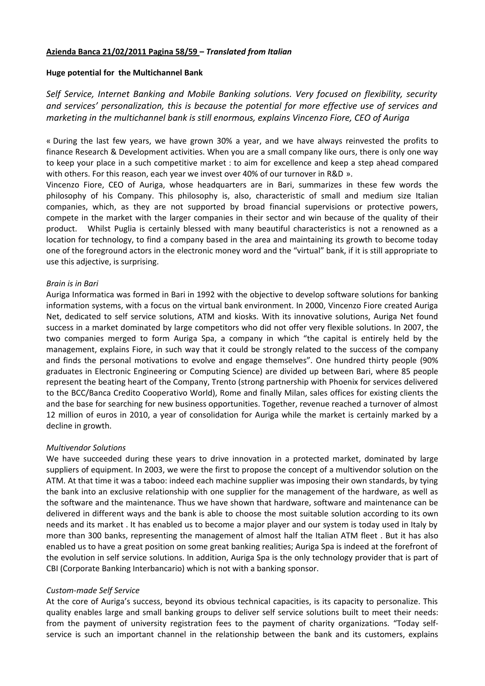## **Azienda Banca 21/02/2011 Pagina 58/59 –** *Translated from Italian*

## **Huge potential for the Multichannel Bank**

*Self Service, Internet Banking and Mobile Banking solutions. Very focused on flexibility, security and services' personalization, this is because the potential for more effective use of services and marketing in the multichannel bank is still enormous, explains Vincenzo Fiore, CEO of Auriga* 

« During the last few years, we have grown 30% a year, and we have always reinvested the profits to finance Research & Development activities. When you are a small company like ours, there is only one way to keep your place in a such competitive market : to aim for excellence and keep a step ahead compared with others. For this reason, each year we invest over 40% of our turnover in R&D ».

Vincenzo Fiore, CEO of Auriga, whose headquarters are in Bari, summarizes in these few words the philosophy of his Company. This philosophy is, also, characteristic of small and medium size Italian companies, which, as they are not supported by broad financial supervisions or protective powers, compete in the market with the larger companies in their sector and win because of the quality of their product. Whilst Puglia is certainly blessed with many beautiful characteristics is not a renowned as a location for technology, to find a company based in the area and maintaining its growth to become today one of the foreground actors in the electronic money word and the "virtual" bank, if it is still appropriate to use this adjective, is surprising.

## *Brain is in Bari*

Auriga Informatica was formed in Bari in 1992 with the objective to develop software solutions for banking information systems, with a focus on the virtual bank environment. In 2000, Vincenzo Fiore created Auriga Net, dedicated to self service solutions, ATM and kiosks. With its innovative solutions, Auriga Net found success in a market dominated by large competitors who did not offer very flexible solutions. In 2007, the two companies merged to form Auriga Spa, a company in which "the capital is entirely held by the management, explains Fiore, in such way that it could be strongly related to the success of the company and finds the personal motivations to evolve and engage themselves". One hundred thirty people (90% graduates in Electronic Engineering or Computing Science) are divided up between Bari, where 85 people represent the beating heart of the Company, Trento (strong partnership with Phoenix for services delivered to the BCC/Banca Credito Cooperativo World), Rome and finally Milan, sales offices for existing clients the and the base for searching for new business opportunities. Together, revenue reached a turnover of almost 12 million of euros in 2010, a year of consolidation for Auriga while the market is certainly marked by a decline in growth.

# *Multivendor Solutions*

We have succeeded during these years to drive innovation in a protected market, dominated by large suppliers of equipment. In 2003, we were the first to propose the concept of a multivendor solution on the ATM. At that time it was a taboo: indeed each machine supplier was imposing their own standards, by tying the bank into an exclusive relationship with one supplier for the management of the hardware, as well as the software and the maintenance. Thus we have shown that hardware, software and maintenance can be delivered in different ways and the bank is able to choose the most suitable solution according to its own needs and its market . It has enabled us to become a major player and our system is today used in Italy by more than 300 banks, representing the management of almost half the Italian ATM fleet . But it has also enabled us to have a great position on some great banking realities; Auriga Spa is indeed at the forefront of the evolution in self service solutions. In addition, Auriga Spa is the only technology provider that is part of CBI (Corporate Banking Interbancario) which is not with a banking sponsor.

### *Custom-made Self Service*

At the core of Auriga's success, beyond its obvious technical capacities, is its capacity to personalize. This quality enables large and small banking groups to deliver self service solutions built to meet their needs: from the payment of university registration fees to the payment of charity organizations. "Today selfservice is such an important channel in the relationship between the bank and its customers, explains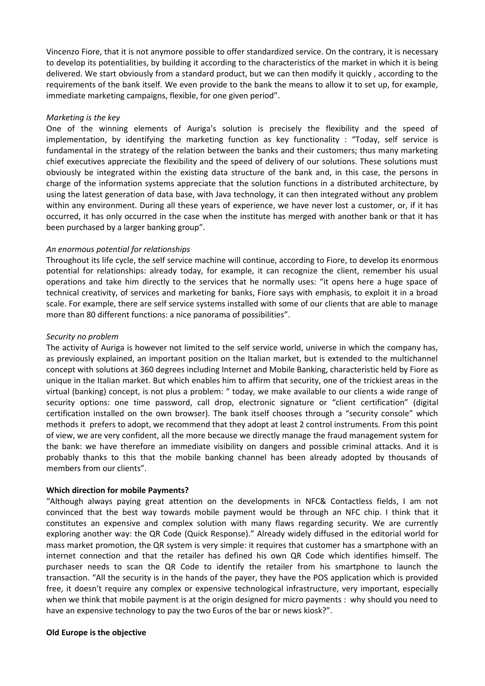Vincenzo Fiore, that it is not anymore possible to offer standardized service. On the contrary, it is necessary to develop its potentialities, by building it according to the characteristics of the market in which it is being delivered. We start obviously from a standard product, but we can then modify it quickly , according to the requirements of the bank itself. We even provide to the bank the means to allow it to set up, for example, immediate marketing campaigns, flexible, for one given period".

## *Marketing is the key*

One of the winning elements of Auriga's solution is precisely the flexibility and the speed of implementation, by identifying the marketing function as key functionality : "Today, self service is fundamental in the strategy of the relation between the banks and their customers; thus many marketing chief executives appreciate the flexibility and the speed of delivery of our solutions. These solutions must obviously be integrated within the existing data structure of the bank and, in this case, the persons in charge of the information systems appreciate that the solution functions in a distributed architecture, by using the latest generation of data base, with Java technology, it can then integrated without any problem within any environment. During all these years of experience, we have never lost a customer, or, if it has occurred, it has only occurred in the case when the institute has merged with another bank or that it has been purchased by a larger banking group".

## *An enormous potential for relationships*

Throughout its life cycle, the self service machine will continue, according to Fiore, to develop its enormous potential for relationships: already today, for example, it can recognize the client, remember his usual operations and take him directly to the services that he normally uses: "it opens here a huge space of technical creativity, of services and marketing for banks, Fiore says with emphasis, to exploit it in a broad scale. For example, there are self service systems installed with some of our clients that are able to manage more than 80 different functions: a nice panorama of possibilities".

## *Security no problem*

The activity of Auriga is however not limited to the self service world, universe in which the company has, as previously explained, an important position on the Italian market, but is extended to the multichannel concept with solutions at 360 degrees including Internet and Mobile Banking, characteristic held by Fiore as unique in the Italian market. But which enables him to affirm that security, one of the trickiest areas in the virtual (banking) concept, is not plus a problem: " today, we make available to our clients a wide range of security options: one time password, call drop, electronic signature or "client certification" (digital certification installed on the own browser). The bank itself chooses through a "security console" which methods it prefers to adopt, we recommend that they adopt at least 2 control instruments. From this point of view, we are very confident, all the more because we directly manage the fraud management system for the bank: we have therefore an immediate visibility on dangers and possible criminal attacks. And it is probably thanks to this that the mobile banking channel has been already adopted by thousands of members from our clients".

### **Which direction for mobile Payments?**

"Although always paying great attention on the developments in NFC& Contactless fields, I am not convinced that the best way towards mobile payment would be through an NFC chip. I think that it constitutes an expensive and complex solution with many flaws regarding security. We are currently exploring another way: the QR Code (Quick Response)." Already widely diffused in the editorial world for mass market promotion, the QR system is very simple: it requires that customer has a smartphone with an internet connection and that the retailer has defined his own QR Code which identifies himself. The purchaser needs to scan the QR Code to identify the retailer from his smartphone to launch the transaction. "All the security is in the hands of the payer, they have the POS application which is provided free, it doesn't require any complex or expensive technological infrastructure, very important, especially when we think that mobile payment is at the origin designed for micro payments : why should you need to have an expensive technology to pay the two Euros of the bar or news kiosk?".

### **Old Europe is the objective**